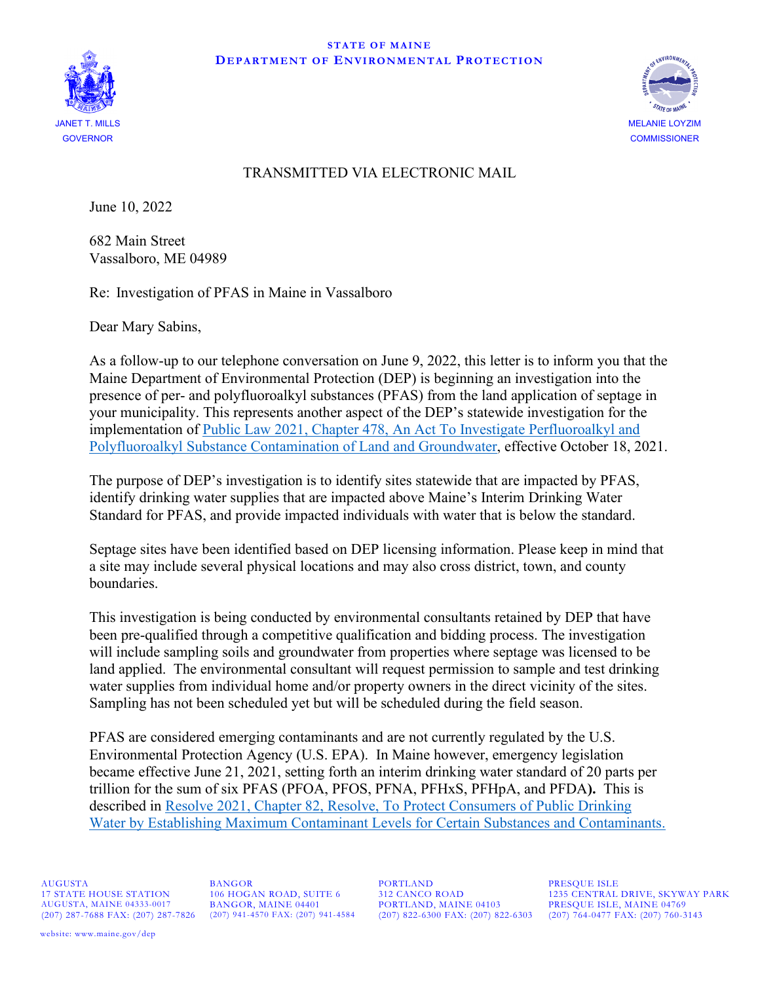



## TRANSMITTED VIA ELECTRONIC MAIL

June 10, 2022

682 Main Street Vassalboro, ME 04989

Re: Investigation of PFAS in Maine in Vassalboro

Dear Mary Sabins,

As a follow-up to our telephone conversation on June 9, 2022, this letter is to inform you that the Maine Department of Environmental Protection (DEP) is beginning an investigation into the presence of per- and polyfluoroalkyl substances (PFAS) from the land application of septage in your municipality. This represents another aspect of the DEP's statewide investigation for the implementation of [Public Law 2021, Chapter 478, An Act To Investigate Perfluoroalkyl and](http://www.mainelegislature.org/legis/bills/getPDF.asp?paper=HP1189&item=5&snum=130)  [Polyfluoroalkyl Substance Contamination of Land and Groundwater,](http://www.mainelegislature.org/legis/bills/getPDF.asp?paper=HP1189&item=5&snum=130) effective October 18, 2021.

The purpose of DEP's investigation is to identify sites statewide that are impacted by PFAS, identify drinking water supplies that are impacted above Maine's Interim Drinking Water Standard for PFAS, and provide impacted individuals with water that is below the standard.

Septage sites have been identified based on DEP licensing information. Please keep in mind that a site may include several physical locations and may also cross district, town, and county boundaries.

This investigation is being conducted by environmental consultants retained by DEP that have been pre-qualified through a competitive qualification and bidding process. The investigation will include sampling soils and groundwater from properties where septage was licensed to be land applied. The environmental consultant will request permission to sample and test drinking water supplies from individual home and/or property owners in the direct vicinity of the sites. Sampling has not been scheduled yet but will be scheduled during the field season.

PFAS are considered emerging contaminants and are not currently regulated by the U.S. Environmental Protection Agency (U.S. EPA). In Maine however, emergency legislation became effective June 21, 2021, setting forth an interim drinking water standard of 20 parts per trillion for the sum of six PFAS (PFOA, PFOS, PFNA, PFHxS, PFHpA, and PFDA**).** This is described in [Resolve 2021, Chapter 82, Resolve, To Protect Consumers of Public Drinking](http://www.mainelegislature.org/legis/bills/getPDF.asp?paper=SP0064&item=3&snum=130)  [Water by Establishing Maximum Contaminant Levels for Certain Substances and Contaminants.](http://www.mainelegislature.org/legis/bills/getPDF.asp?paper=SP0064&item=3&snum=130)

AUGUSTA BANGOR PORTLAND PRESQUE ISLE AUGUSTA, MAINE 04333-0017 BANGOR, MAINE 04401 PORTLAND, MAINE 04103 PRESQUE ISLE, MAINE 04769

(207) 822-6300 FAX: (207) 822-6303 (207) 764-0477 FAX: (207) 760-3143

17 STATE HOUSE STATION 106 HOGAN ROAD, SUITE 6 312 CANCO ROAD 1235 CENTRAL DRIVE, SKYWAY PARK AUGUSTA, MAINE 04333-0017 BANGOR, MAINE 04401 PORTLAND, MAINE 04103 PRESQUE ISLE, MAINE 04769